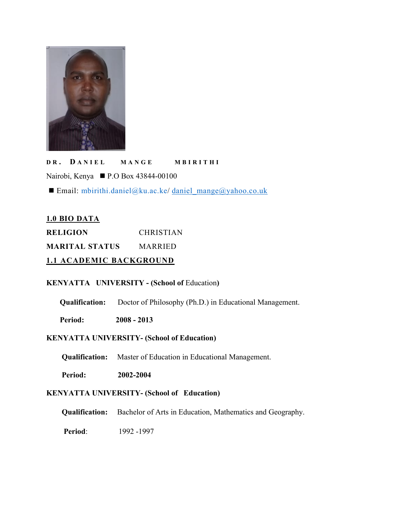

**D R . D A N I E L M A N GE M B I R I T H I** Nairobi, Kenya ■ P.O Box 43844-00100

Email: [mbirithi.daniel@ku.ac.ke](mailto:daniel_mange@yahoo.co.uk/mbirithi.daniel@ku.ac.ke)/ [daniel\\_mange@yahoo.co.uk](mailto:daniel_mange@yahoo.co.uk)

## **1.0 BIO DATA**

**RELIGION** CHRISTIAN **MARITAL STATUS** MARRIED

**1.1 ACADEMIC BACKGROUND**

## **KENYATTA UNIVERSITY - (School of** Education**)**

**Qualification:** Doctor of Philosophy (Ph.D.) in Educational Management.

**Period: 2008 - 2013**

## **KENYATTA UNIVERSITY- (School of Education)**

**Qualification:** Master of Education in Educational Management.

**Period: 2002-2004**

## **KENYATTA UNIVERSITY- (School of Education)**

**Qualification:** Bachelor of Arts in Education, Mathematics and Geography.

**Period**: 1992 -1997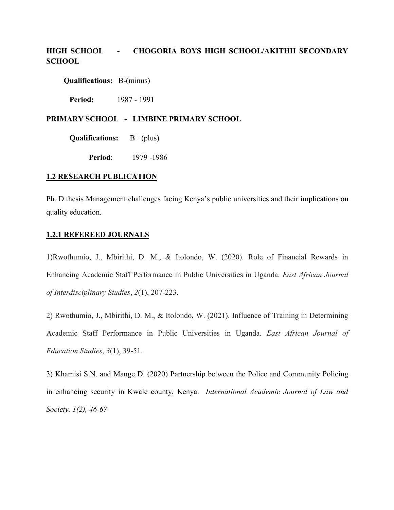## **HIGH SCHOOL - CHOGORIA BOYSHIGH SCHOOL/AKITHII SECONDARY SCHOOL**

**Qualifications:** B-(minus)

**Period:** 1987 - 1991

### **PRIMARY SCHOOL - LIMBINE PRIMARY SCHOOL**

**Qualifications:** B+ (plus)

**Period**: 1979 -1986

### **1.2 RESEARCH PUBLICATION**

Ph. D thesis Management challenges facing Kenya's public universities and their implications on quality education.

### **1.2.1 REFEREED JOURNALS**

1)Rwothumio, J., Mbirithi, D. M., & Itolondo, W. (2020). Role of Financial Rewards in Enhancing Academic Staff Performance in Public Universities in Uganda. *East African Journal of Interdisciplinary Studies*, *2*(1), 207-223.

2) Rwothumio, J., Mbirithi, D. M., & Itolondo, W. (2021). Influence of Training in Determining Academic Staff Performance in Public Universities in Uganda. *East African Journal of Education Studies*, *3*(1), 39-51.

3) Khamisi S.N. and Mange D. (2020) Partnership between the Police and Community Policing in enhancing security in Kwale county, Kenya. *International Academic Journal of Law and Society. 1(2), 46-67*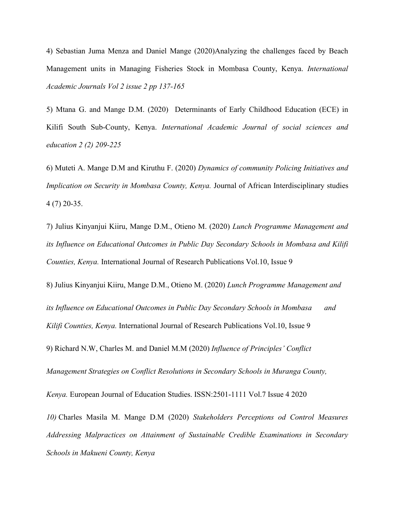4) Sebastian Juma Menza and Daniel Mange (2020)Analyzing the challenges faced by Beach Management units in Managing Fisheries Stock in Mombasa County, Kenya. *International Academic Journals Vol 2 issue 2 pp 137-165*

5) Mtana G. and Mange D.M. (2020) Determinants of Early Childhood Education (ECE) in Kilifi South Sub-County, Kenya. *International Academic Journal of social sciences and education 2 (2) 209-225*

6) Muteti A. Mange D.M and Kiruthu F. (2020) *Dynamics of community Policing Initiatives and Implication on Security in Mombasa County, Kenya.* Journal of African Interdisciplinary studies 4 (7) 20-35.

7) Julius Kinyanjui Kiiru, Mange D.M., Otieno M. (2020) *Lunch Programme Management and its Influence on Educational Outcomes in Public Day Secondary Schools in Mombasa and Kilifi Counties, Kenya.* International Journal of Research Publications Vol.10, Issue 9

8) Julius Kinyanjui Kiiru, Mange D.M., Otieno M. (2020) *Lunch Programme Management and its Influence on Educational Outcomes in Public Day Secondary Schools in Mombasa and Kilifi Counties, Kenya.* International Journal of Research Publications Vol.10, Issue 9

9) Richard N.W, Charles M. and Daniel M.M (2020) *Influence of Principles' Conflict*

*Management Strategies on Conflict Resolutions in Secondary Schools in Muranga County,*

*Kenya.* European Journal of Education Studies. ISSN:2501-1111 Vol.7 Issue 4 2020

*10)* Charles Masila M. Mange D.M (2020) *Stakeholders Perceptions od Control Measures Addressing Malpractices on Attainment of Sustainable Credible Examinations in Secondary Schools in Makueni County, Kenya*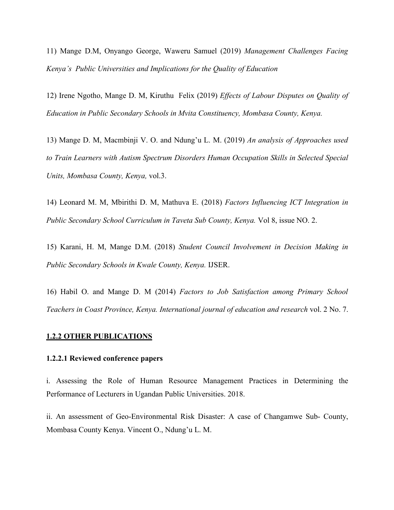11) Mange D.M, Onyango George, Waweru Samuel (2019) *Management Challenges Facing Kenya's Public Universities and Implications for the Quality of Education*

12) Irene Ngotho, Mange D. M, Kiruthu Felix (2019) *Efects of Labour Disputes on Quality of Education in Public Secondary Schools in Mvita Constituency, Mombasa County, Kenya.*

13) Mange D. M, Macmbinji V. O. and Ndung'u L. M. (2019) *An analysis of Approaches used to Train Learners with Autism Spectrum Disorders Human Occupation Skills in Selected Special Units, Mombasa County, Kenya,* vol.3.

14) Leonard M. M, Mbirithi D. M, Mathuva E. (2018) *Factors Influencing ICT Integration in Public Secondary School Curriculum in Taveta Sub County, Kenya.* Vol 8, issue NO. 2.

15) Karani, H. M, Mange D.M. (2018) *Student Council Involvement in Decision Making in Public Secondary Schools in Kwale County, Kenya.* IJSER.

16) Habil O. and Mange D.M (2014) *Factors to Job Satisfaction among Primary School Teachers in Coast Province, Kenya. International journal of education and research* vol. 2 No. 7.

#### **1.2.2 OTHER PUBLICATIONS**

### **1.2.2.1 Reviewed conference papers**

i. Assessing the Role of Human Resource Management Practices in Determining the Performance of Lecturers in Ugandan Public Universities. 2018.

ii. An assessment of Geo-Environmental Risk Disaster: A case of Changamwe Sub- County, Mombasa County Kenya. Vincent O., Ndung'u L. M.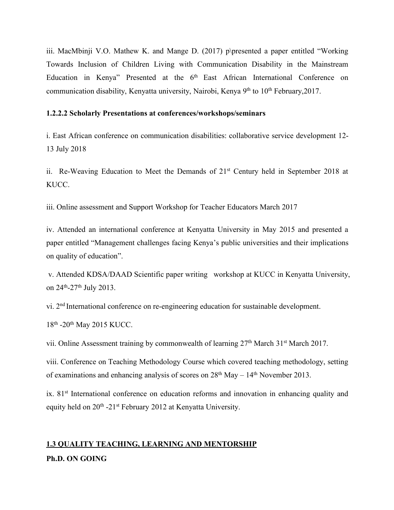iii. MacMbinji V.O. Mathew K. and Mange D.  $(2017)$  p $\beta$ presented a paper entitled "Working" Towards Inclusion of Children Living with Communication Disability in the Mainstream Education in Kenya" Presented at the 6<sup>th</sup> East African International Conference on communication disability, Kenyatta university, Nairobi, Kenya 9<sup>th</sup> to 10<sup>th</sup> February,2017.

### **1.2.2.2 Scholarly Presentations atconferences/workshops/seminars**

i. East African conference on communication disabilities: collaborative service development 12- 13 July 2018

ii. Re-Weaving Education to Meet the Demands of 21<sup>st</sup> Century held in September 2018 at KUCC.

iii. Online assessment and Support Workshop for Teacher Educators March 2017

iv. Attended an international conference at Kenyatta University in May 2015 and presented a paper entitled "Management challenges facing Kenya's public universities and their implications on quality of education".

v. Attended KDSA/DAAD Scientific paper writing workshop at KUCC in Kenyatta University, on 24 th-27 th July 2013.

vi. 2 nd International conference on re-engineering education for sustainable development.

18<sup>th</sup> -20<sup>th</sup> May 2015 KUCC.

vii. Online Assessment training by commonwealth of learning 27<sup>th</sup> March 31<sup>st</sup> March 2017.

viii. Conference on Teaching Methodology Course which covered teaching methodology, setting of examinations and enhancing analysis of scores on  $28<sup>th</sup>$  May  $-14<sup>th</sup>$  November 2013.

ix. 81<sup>st</sup> International conference on education reforms and innovation in enhancing quality and equity held on 20<sup>th</sup> -21<sup>st</sup> February 2012 at Kenyatta University.

# **1.3 QUALITY TEACHING, LEARNING AND MENTORSHIP Ph.D. ON GOING**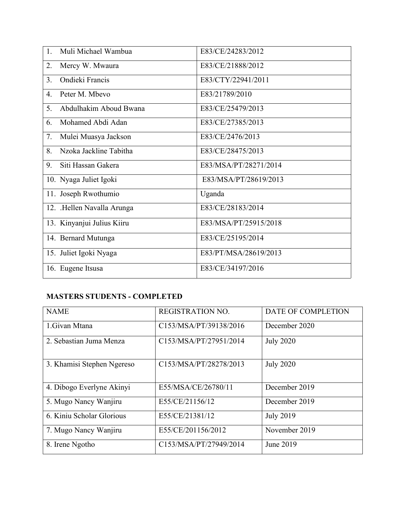| Muli Michael Wambua<br>1.    | E83/CE/24283/2012     |
|------------------------------|-----------------------|
| Mercy W. Mwaura<br>2.        | E83/CE/21888/2012     |
| Ondieki Francis<br>3.        | E83/CTY/22941/2011    |
| Peter M. Mbevo<br>4.         | E83/21789/2010        |
| Abdulhakim Aboud Bwana<br>5. | E83/CE/25479/2013     |
| Mohamed Abdi Adan<br>6.      | E83/CE/27385/2013     |
| Mulei Muasya Jackson<br>7.   | E83/CE/2476/2013      |
| Nzoka Jackline Tabitha<br>8. | E83/CE/28475/2013     |
| 9.<br>Siti Hassan Gakera     | E83/MSA/PT/28271/2014 |
| 10. Nyaga Juliet Igoki       | E83/MSA/PT/28619/2013 |
| 11. Joseph Rwothumio         | Uganda                |
| 12. .Hellen Navalla Arunga   | E83/CE/28183/2014     |
| 13. Kinyanjui Julius Kiiru   | E83/MSA/PT/25915/2018 |
| 14. Bernard Mutunga          | E83/CE/25195/2014     |
| 15. Juliet Igoki Nyaga       | E83/PT/MSA/28619/2013 |
| 16. Eugene Itsusa            | E83/CE/34197/2016     |

# **MASTERS STUDENTS - COMPLETED**

| <b>NAME</b>                | <b>REGISTRATION NO.</b> | DATE OF COMPLETION |  |
|----------------------------|-------------------------|--------------------|--|
| 1.Givan Mtana              | C153/MSA/PT/39138/2016  | December 2020      |  |
| 2. Sebastian Juma Menza    | C153/MSA/PT/27951/2014  | <b>July 2020</b>   |  |
| 3. Khamisi Stephen Ngereso | C153/MSA/PT/28278/2013  | <b>July 2020</b>   |  |
| 4. Dibogo Everlyne Akinyi  | E55/MSA/CE/26780/11     | December 2019      |  |
| 5. Mugo Nancy Wanjiru      | E55/CE/21156/12         | December 2019      |  |
| 6. Kiniu Scholar Glorious  | E55/CE/21381/12         | <b>July 2019</b>   |  |
| 7. Mugo Nancy Wanjiru      | E55/CE/201156/2012      | November 2019      |  |
| 8. Irene Ngotho            | C153/MSA/PT/27949/2014  | June 2019          |  |
|                            |                         |                    |  |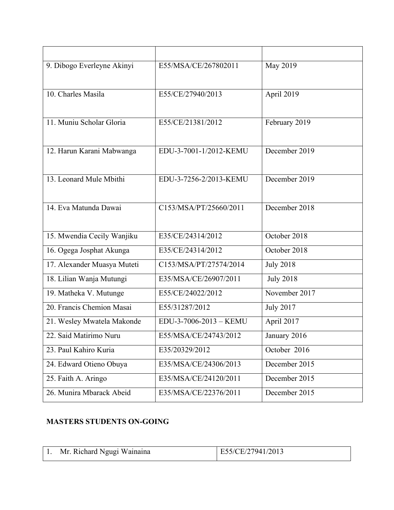| 9. Dibogo Everleyne Akinyi  | E55/MSA/CE/267802011   | May 2019         |
|-----------------------------|------------------------|------------------|
| 10. Charles Masila          | E55/CE/27940/2013      | April 2019       |
| 11. Muniu Scholar Gloria    | E55/CE/21381/2012      | February 2019    |
| 12. Harun Karani Mabwanga   | EDU-3-7001-1/2012-KEMU | December 2019    |
| 13. Leonard Mule Mbithi     | EDU-3-7256-2/2013-KEMU | December 2019    |
| 14. Eva Matunda Dawai       | C153/MSA/PT/25660/2011 | December 2018    |
| 15. Mwendia Cecily Wanjiku  | E35/CE/24314/2012      | October 2018     |
| 16. Ogega Josphat Akunga    | E35/CE/24314/2012      | October 2018     |
| 17. Alexander Muasya Muteti | C153/MSA/PT/27574/2014 | <b>July 2018</b> |
| 18. Lilian Wanja Mutungi    | E35/MSA/CE/26907/2011  | <b>July 2018</b> |
| 19. Matheka V. Mutunge      | E55/CE/24022/2012      | November 2017    |
| 20. Francis Chemion Masai   | E55/31287/2012         | <b>July 2017</b> |
| 21. Wesley Mwatela Makonde  | EDU-3-7006-2013 - KEMU | April 2017       |
| 22. Said Matirimo Nuru      | E55/MSA/CE/24743/2012  | January 2016     |
| 23. Paul Kahiro Kuria       | E35/20329/2012         | October 2016     |
| 24. Edward Otieno Obuya     | E35/MSA/CE/24306/2013  | December 2015    |
| 25. Faith A. Aringo         | E35/MSA/CE/24120/2011  | December 2015    |
| 26. Munira Mbarack Abeid    | E35/MSA/CE/22376/2011  | December 2015    |

# **MASTERS STUDENTS ON-GOING**

| Mr. Richard Ngugi Wainaina | E55/CE/27941/2013 |
|----------------------------|-------------------|
|                            |                   |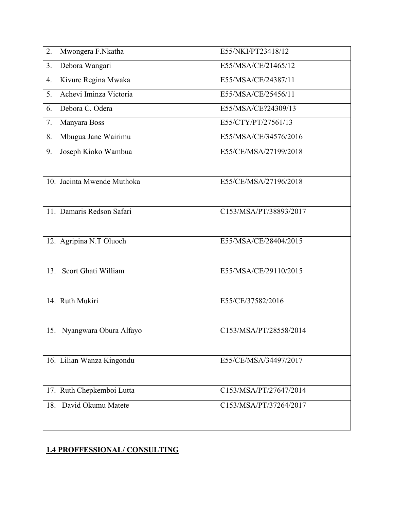| 2.  | Mwongera F.Nkatha          | E55/NKI/PT23418/12     |
|-----|----------------------------|------------------------|
| 3.  | Debora Wangari             | E55/MSA/CE/21465/12    |
| 4.  | Kivure Regina Mwaka        | E55/MSA/CE/24387/11    |
| 5.  | Achevi Iminza Victoria     | E55/MSA/CE/25456/11    |
| 6.  | Debora C. Odera            | E55/MSA/CE?24309/13    |
| 7.  | Manyara Boss               | E55/CTY/PT/27561/13    |
| 8.  | Mbugua Jane Wairimu        | E55/MSA/CE/34576/2016  |
| 9.  | Joseph Kioko Wambua        | E55/CE/MSA/27199/2018  |
|     |                            |                        |
|     | 10. Jacinta Mwende Muthoka | E55/CE/MSA/27196/2018  |
|     |                            |                        |
|     | 11. Damaris Redson Safari  | C153/MSA/PT/38893/2017 |
|     |                            |                        |
|     | 12. Agripina N.T Oluoch    | E55/MSA/CE/28404/2015  |
|     |                            |                        |
| 13. | Scort Ghati William        | E55/MSA/CE/29110/2015  |
|     |                            |                        |
|     | 14. Ruth Mukiri            | E55/CE/37582/2016      |
|     |                            |                        |
|     | 15. Nyangwara Obura Alfayo | C153/MSA/PT/28558/2014 |
|     |                            |                        |
|     | 16. Lilian Wanza Kingondu  | E55/CE/MSA/34497/2017  |
|     |                            |                        |
|     | 17. Ruth Chepkemboi Lutta  | C153/MSA/PT/27647/2014 |
|     | 18. David Okumu Matete     | C153/MSA/PT/37264/2017 |
|     |                            |                        |
|     |                            |                        |

# **1.4 PROFFESSIONAL/ CONSULTING**